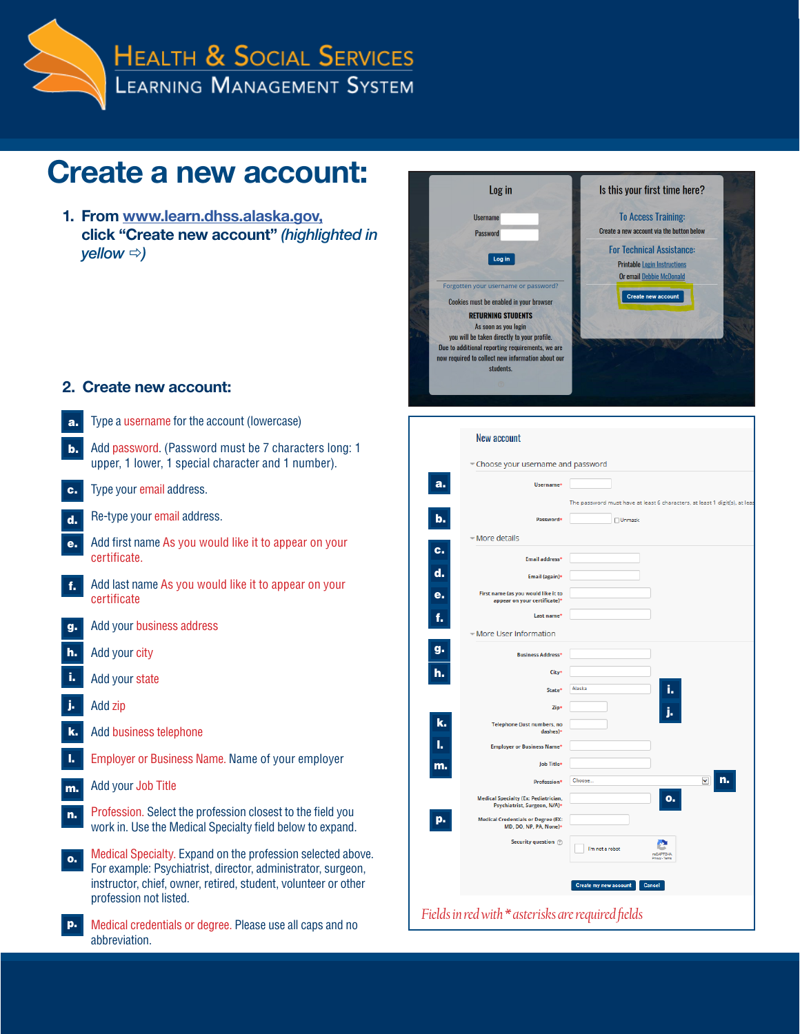

| <b>Create a new account:</b>                                                                                                                                                                                                  | Log in                                                                                                                                                                                                                                                                                                                                                    | Is this your first time here?                                                                                                                                                                               |
|-------------------------------------------------------------------------------------------------------------------------------------------------------------------------------------------------------------------------------|-----------------------------------------------------------------------------------------------------------------------------------------------------------------------------------------------------------------------------------------------------------------------------------------------------------------------------------------------------------|-------------------------------------------------------------------------------------------------------------------------------------------------------------------------------------------------------------|
| 1. From www.learn.dhss.alaska.gov,<br>click "Create new account" (highlighted in<br>yellow $\Rightarrow$ )                                                                                                                    | <b>Username</b><br><b>Password</b><br>Log in<br>Forgotten your username or password?<br>Cookies must be enabled in your browser<br><b>RETURNING STUDENTS</b><br>As soon as you login<br>you will be taken directly to your profile.<br>Due to additional reporting requirements, we are<br>now required to collect new information about our<br>students. | <b>To Access Training:</b><br>Create a new account via the button below<br><b>For Technical Assistance:</b><br><b>Printable Login Instructions</b><br>Or email Debbie McDonald<br><b>Create new account</b> |
| 2. Create new account:                                                                                                                                                                                                        |                                                                                                                                                                                                                                                                                                                                                           |                                                                                                                                                                                                             |
| Type a username for the account (lowercase)<br>а.                                                                                                                                                                             |                                                                                                                                                                                                                                                                                                                                                           |                                                                                                                                                                                                             |
| Add password. (Password must be 7 characters long: 1<br>upper, 1 lower, 1 special character and 1 number).                                                                                                                    | New account<br>- Choose your username and password                                                                                                                                                                                                                                                                                                        |                                                                                                                                                                                                             |
| Type your email address.                                                                                                                                                                                                      | a.<br><b>Username</b>                                                                                                                                                                                                                                                                                                                                     |                                                                                                                                                                                                             |
| Re-type your email address.<br>d.                                                                                                                                                                                             | b.<br>Password                                                                                                                                                                                                                                                                                                                                            | The password must have at least 6 characters, at lea<br>$\Box$ Unmask                                                                                                                                       |
| Add first name As you would like it to appear on your<br>е.<br>certificate.                                                                                                                                                   | - More details<br>c.<br><b>Email address*</b>                                                                                                                                                                                                                                                                                                             |                                                                                                                                                                                                             |
| Add last name As you would like it to appear on your<br>f.<br>certificate                                                                                                                                                     | d.<br><b>Email (again)*</b><br>First name (as you would like it to<br>е.<br>appear on your certificate)'                                                                                                                                                                                                                                                  |                                                                                                                                                                                                             |
| Add your business address<br>g.                                                                                                                                                                                               | Last name<br>f.<br>– More User Information                                                                                                                                                                                                                                                                                                                |                                                                                                                                                                                                             |
| Add your city<br>h.                                                                                                                                                                                                           | g.<br><b>Business Address'</b>                                                                                                                                                                                                                                                                                                                            |                                                                                                                                                                                                             |
| Add your state                                                                                                                                                                                                                | h.<br>City <sup>®</sup>                                                                                                                                                                                                                                                                                                                                   |                                                                                                                                                                                                             |
| Add zip                                                                                                                                                                                                                       | <b>State</b> <sup></sup><br>Zip                                                                                                                                                                                                                                                                                                                           | Alaska                                                                                                                                                                                                      |
| Add business telephone<br>k.                                                                                                                                                                                                  | k.<br><b>Telephone (Just numbers, no</b><br>dashes)                                                                                                                                                                                                                                                                                                       |                                                                                                                                                                                                             |
| Employer or Business Name. Name of your employer                                                                                                                                                                              | ь.<br><b>Employer or Business Name</b><br>Job Title*                                                                                                                                                                                                                                                                                                      |                                                                                                                                                                                                             |
| Add your Job Title                                                                                                                                                                                                            | m.<br><b>Profession</b> *                                                                                                                                                                                                                                                                                                                                 | $\overline{\phantom{0}}$<br>Choose.                                                                                                                                                                         |
| Profession. Select the profession closest to the field you<br>n.<br>work in. Use the Medical Specialty field below to expand.                                                                                                 | <b>Medical Specialty (Ex: Pediatrician,</b><br>Psychiatrist, Surgeon, N/A)*<br><b>Medical Credentials or Degree (EX:</b><br>р.<br>MD, DO, NP, PA, None)+                                                                                                                                                                                                  | о.                                                                                                                                                                                                          |
| Medical Specialty. Expand on the profession selected above.<br>о.<br>For example: Psychiatrist, director, administrator, surgeon,<br>instructor, chief, owner, retired, student, volunteer or other<br>profession not listed. | Security question (?)                                                                                                                                                                                                                                                                                                                                     | I'm not a robot<br><b>NOAPTOHA</b><br>Create my new account<br><b>Cancel</b>                                                                                                                                |
| Medical credentials or degree. Please use all caps and no<br>р.<br>abbreviation.                                                                                                                                              | Fields in red with $*$ asterisks are required fields                                                                                                                                                                                                                                                                                                      |                                                                                                                                                                                                             |

**a**n.

acters, at least 1 digit(s), at lea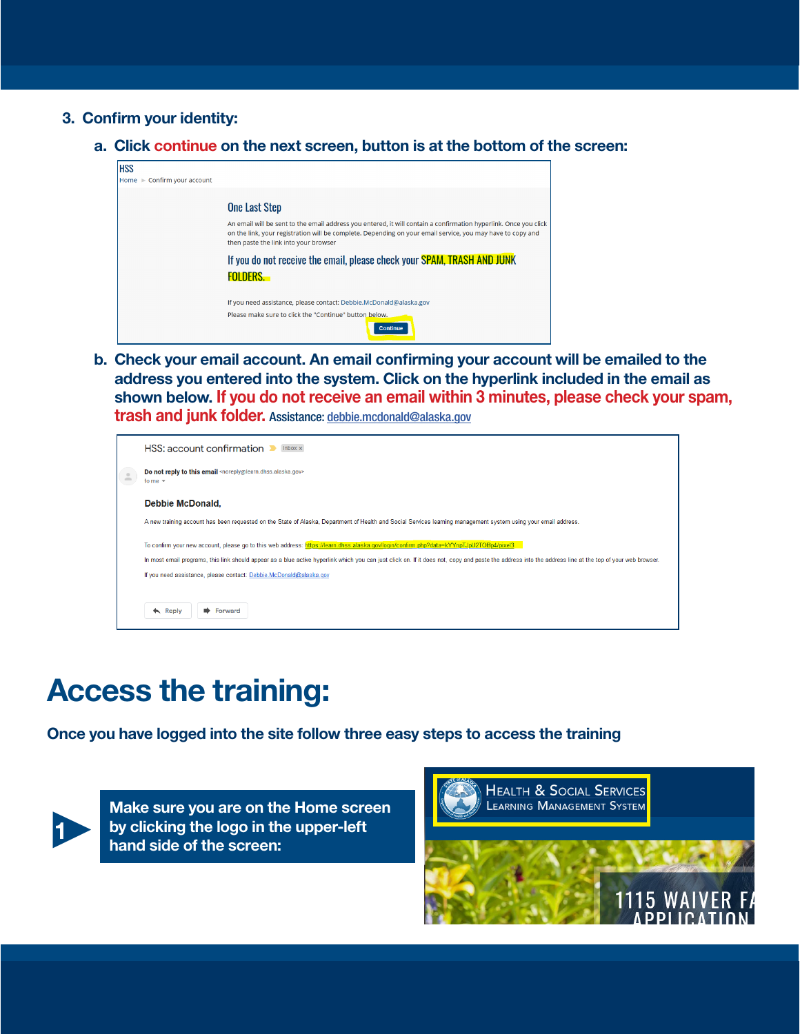- 3. Confirm your identity:
	- a. Click continue on the next screen, button is at the bottom of the screen:



b. Check your email account. An email confirming your account will be emailed to the address you entered into the system. Click on the hyperlink included in the email as shown below. If you do not receive an email within 3 minutes, please check your spam, trash and junk folder. Assistance: [debbie.mcdonald@alaska.gov](mailto:debbie.mcdonald@alaska.gov
)



## Access the training:

Once you have logged into the site follow three easy steps to access the training



Make sure you are on the Home screen<br>by clicking the logo in the upper-left<br>hand side of the screen: